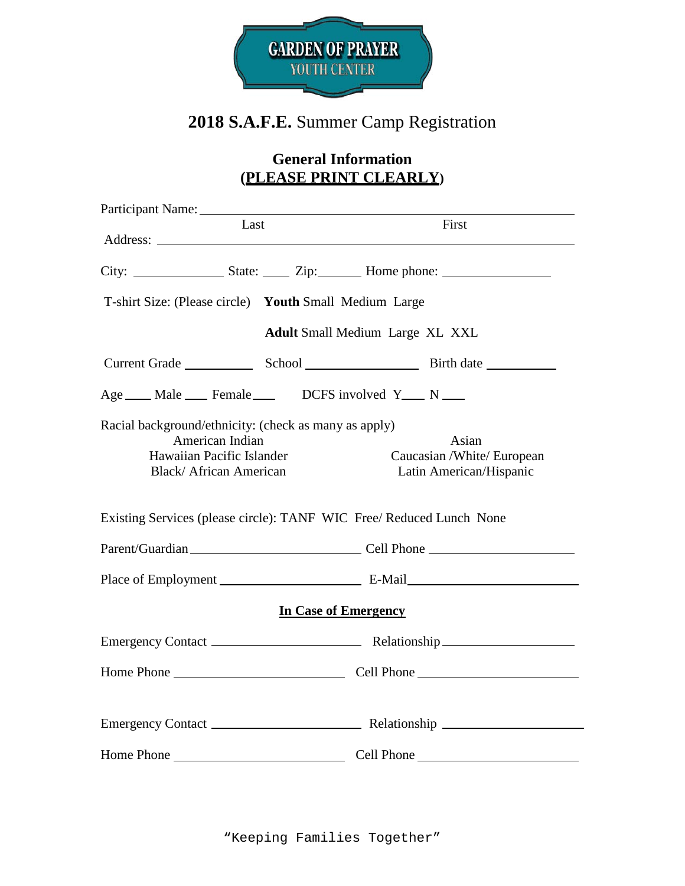

# **2018 S.A.F.E.** Summer Camp Registration

## **General Information (PLEASE PRINT CLEARLY)**

| Participant Name:                                                                                                                      |                                                                      |
|----------------------------------------------------------------------------------------------------------------------------------------|----------------------------------------------------------------------|
| Last                                                                                                                                   | First                                                                |
|                                                                                                                                        |                                                                      |
|                                                                                                                                        |                                                                      |
| T-shirt Size: (Please circle) Youth Small Medium Large                                                                                 |                                                                      |
|                                                                                                                                        | <b>Adult Small Medium Large XL XXL</b>                               |
|                                                                                                                                        |                                                                      |
| Age ___ Male ___ Female ___ DCFS involved Y __ N __                                                                                    |                                                                      |
| Racial background/ethnicity: (check as many as apply)<br>American Indian<br>Hawaiian Pacific Islander<br><b>Black/African American</b> | Asian<br>Caucasian /White/ European<br>Latin American/Hispanic       |
|                                                                                                                                        | Existing Services (please circle): TANF WIC Free/ Reduced Lunch None |
|                                                                                                                                        | Parent/Guardian Cell Phone Cell Phone                                |
|                                                                                                                                        |                                                                      |
|                                                                                                                                        | <b>In Case of Emergency</b>                                          |
|                                                                                                                                        |                                                                      |
|                                                                                                                                        |                                                                      |
|                                                                                                                                        |                                                                      |
|                                                                                                                                        |                                                                      |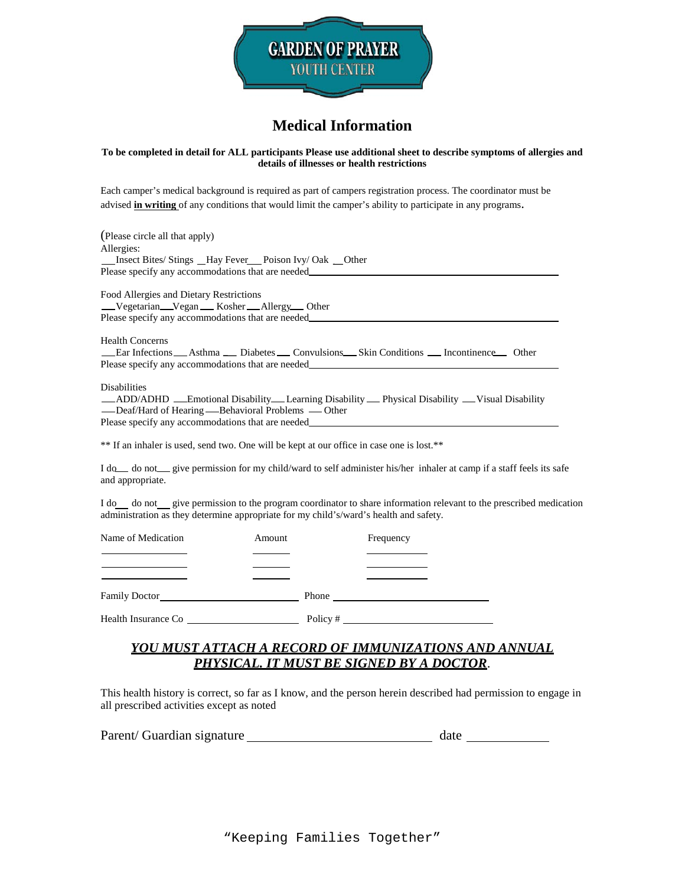

## **Medical Information**

#### **To be completed in detail for ALL participants Please use additional sheet to describe symptoms of allergies and details of illnesses or health restrictions**

Each camper's medical background is required as part of campers registration process. The coordinator must be advised **in writing** of any conditions that would limit the camper's ability to participate in any programs.

(Please circle all that apply) Allergies: \_Insect Bites/ Stings \_Hay Fever\_Poison Ivy/ Oak \_Other Please specify any accommodations that are needed Food Allergies and Dietary Restrictions Vegetarian Vegan Kosher Allergy Other Please specify any accommodations that are needed Health Concerns Ear Infections Asthma Diabetes Convulsions Skin Conditions Incontinence Other Please specify any accommodations that are needed Disabilities \_ADD/ADHD \_Emotional Disability Learning Disability \_Physical Disability \_Visual Disability -Deaf/Hard of Hearing - Behavioral Problems - Other Please specify any accommodations that are needed

\*\* If an inhaler is used, send two. One will be kept at our office in case one is lost.\*\*

I do do not give permission for my child/ward to self administer his/her inhaler at camp if a staff feels its safe and appropriate.

I do do not give permission to the program coordinator to share information relevant to the prescribed medication administration as they determine appropriate for my child's/ward's health and safety.

| Name of Medication   | Amount |          | Frequency |  |
|----------------------|--------|----------|-----------|--|
|                      |        |          |           |  |
| <b>Family Doctor</b> |        | Phone    |           |  |
| Health Insurance Co  |        | Policy # |           |  |

### *YOU MUST ATTACH A RECORD OF IMMUNIZATIONS AND ANNUAL PHYSICAL. IT MUST BE SIGNED BY A DOCTOR*.

This health history is correct, so far as I know, and the person herein described had permission to engage in all prescribed activities except as noted

| Parent/ Guardian signature |  | date |
|----------------------------|--|------|
|----------------------------|--|------|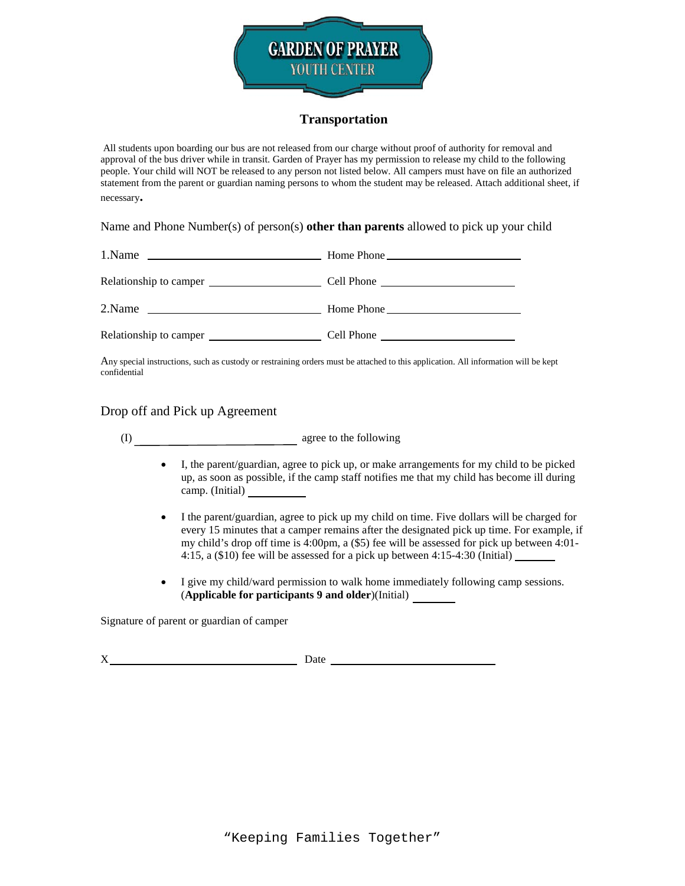

### **Transportation**

All students upon boarding our bus are not released from our charge without proof of authority for removal and approval of the bus driver while in transit. Garden of Prayer has my permission to release my child to the following people. Your child will NOT be released to any person not listed below. All campers must have on file an authorized statement from the parent or guardian naming persons to whom the student may be released. Attach additional sheet, if necessary**.** 

Name and Phone Number(s) of person(s) **other than parents** allowed to pick up your child

| 1.Name | $\frac{1}{2}$ Home Phone |
|--------|--------------------------|
|        |                          |
| 2.Name | $\frac{1}{2}$ Home Phone |
|        |                          |

Any special instructions, such as custody or restraining orders must be attached to this application. All information will be kept confidential

Drop off and Pick up Agreement

(I) agree to the following

- I, the parent/guardian, agree to pick up, or make arrangements for my child to be picked up, as soon as possible, if the camp staff notifies me that my child has become ill during camp. (Initial)
- I the parent/guardian, agree to pick up my child on time. Five dollars will be charged for every 15 minutes that a camper remains after the designated pick up time. For example, if my child's drop off time is 4:00pm, a (\$5) fee will be assessed for pick up between 4:01- 4:15, a (\$10) fee will be assessed for a pick up between 4:15-4:30 (Initial)
- I give my child/ward permission to walk home immediately following camp sessions. (**Applicable for participants 9 and older**)(Initial)

Signature of parent or guardian of camper

X Date Date Date